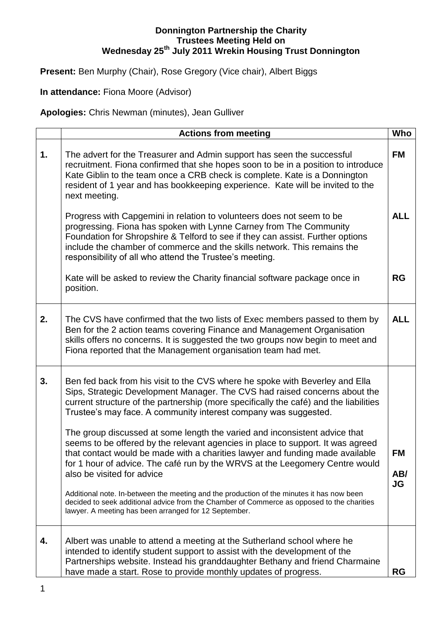## **Donnington Partnership the Charity Trustees Meeting Held on Wednesday 25th July 2011 Wrekin Housing Trust Donnington**

Present: Ben Murphy (Chair), Rose Gregory (Vice chair), Albert Biggs

**In attendance:** Fiona Moore (Advisor)

**Apologies:** Chris Newman (minutes), Jean Gulliver

|    | <b>Actions from meeting</b>                                                                                                                                                                                                                                                                                                                                                                          | Who                           |
|----|------------------------------------------------------------------------------------------------------------------------------------------------------------------------------------------------------------------------------------------------------------------------------------------------------------------------------------------------------------------------------------------------------|-------------------------------|
| 1. | The advert for the Treasurer and Admin support has seen the successful<br>recruitment. Fiona confirmed that she hopes soon to be in a position to introduce<br>Kate Giblin to the team once a CRB check is complete. Kate is a Donnington<br>resident of 1 year and has bookkeeping experience. Kate will be invited to the<br>next meeting.                                                         | <b>FM</b>                     |
|    | Progress with Capgemini in relation to volunteers does not seem to be<br>progressing. Fiona has spoken with Lynne Carney from The Community<br>Foundation for Shropshire & Telford to see if they can assist. Further options<br>include the chamber of commerce and the skills network. This remains the<br>responsibility of all who attend the Trustee's meeting.                                 | <b>ALL</b>                    |
|    | Kate will be asked to review the Charity financial software package once in<br>position.                                                                                                                                                                                                                                                                                                             | <b>RG</b>                     |
| 2. | The CVS have confirmed that the two lists of Exec members passed to them by<br>Ben for the 2 action teams covering Finance and Management Organisation<br>skills offers no concerns. It is suggested the two groups now begin to meet and<br>Fiona reported that the Management organisation team had met.                                                                                           | <b>ALL</b>                    |
| 3. | Ben fed back from his visit to the CVS where he spoke with Beverley and Ella<br>Sips, Strategic Development Manager. The CVS had raised concerns about the<br>current structure of the partnership (more specifically the café) and the liabilities<br>Trustee's may face. A community interest company was suggested.<br>The group discussed at some length the varied and inconsistent advice that |                               |
|    | seems to be offered by the relevant agencies in place to support. It was agreed<br>that contact would be made with a charities lawyer and funding made available<br>for 1 hour of advice. The café run by the WRVS at the Leegomery Centre would<br>also be visited for advice                                                                                                                       | <b>FM</b><br>AB/<br><b>JG</b> |
|    | Additional note. In-between the meeting and the production of the minutes it has now been<br>decided to seek additional advice from the Chamber of Commerce as opposed to the charities<br>lawyer. A meeting has been arranged for 12 September.                                                                                                                                                     |                               |
| 4. | Albert was unable to attend a meeting at the Sutherland school where he<br>intended to identify student support to assist with the development of the<br>Partnerships website. Instead his granddaughter Bethany and friend Charmaine<br>have made a start. Rose to provide monthly updates of progress.                                                                                             | <b>RG</b>                     |